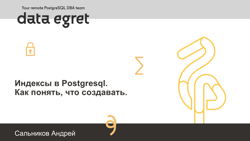Your remote PostgreSQL DBA team





#### **Индексы в Postgresql. Как понять, что создавать.**



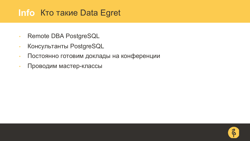#### **Info** Кто такие Data Egret

- Remote DBA PostgreSQL
- Консультанты PostgreSQL
- Постоянно готовим доклады на конференции
- Проводим мастер-классы

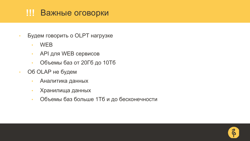#### **!!!** Важные оговорки

- Будем говорить о OLPT нагрузке
	- WEB
	- API для WEB сервисов
	- Объемы баз от 20Гб до 10Тб
- Об OLAP не будем
	- Аналитика данных
	- Хранилища данных
	- Объемы баз больше 1Тб и до бесконечности

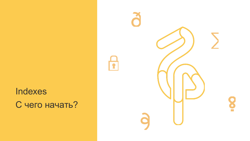# Indexes С чего начать?

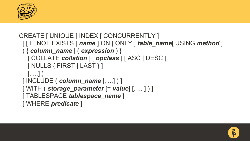

```
CREATE [ UNIQUE ] INDEX [ CONCURRENTLY ]
 [ [ IF NOT EXISTS ] name ] ON [ ONLY ] table_name[ USING method ]
 ( { column_name | ( expression ) }
  [ COLLATE collation ] [ opclass ] [ ASC | DESC ]
  [ NULLS { FIRST | LAST } ]
  [, ...] )[ INCLUDE ( column_name [, ...] ) ]
 [ WITH ( storage_parameter [= value] [, ... ] ) ]
 [ TABLESPACE tablespace_name ]
 [ WHERE predicate ]
```
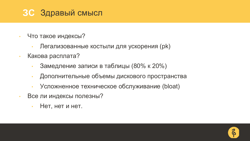#### **ЗС** Здравый смысл

- Что такое индексы?
	- Легализованные костыли для ускорения (pk)
- Какова расплата?
	- Замедление записи в таблицы (80% к 20%)
	- Дополнительные объемы дискового пространства
	- Усложненное техническое обслуживание (bloat)
- Все ли индексы полезны?
	- Нет, нет и нет.

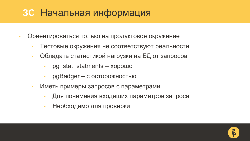# **ЗС** Начальная информация

- Ориентироваться только на продуктовое окружение
	- Тестовые окружения не соответствуют реальности
	- Обладать статистикой нагрузки на БД от запросов
		- pg\_stat\_statments хорошо
		- pgBadger с осторожностью
	- Иметь примеры запросов с параметрами
		- Для понимания входящих параметров запроса
		- Необходимо для проверки

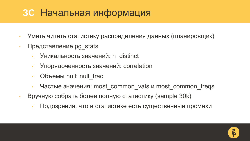# **ЗС** Начальная информация

- Уметь читать статистику распределения данных (планировщик)
- Представление pg stats
	- Уникальность значений: n\_distinct
	- Упорядоченность значений: correlation
	- Объемы null: null frac
	- Частые значения: most\_common\_vals и most\_common\_freqs
- Вручную собрать более полную статистику (sample 30k)
	- Подозрения, что в статистике есть существенные промахи

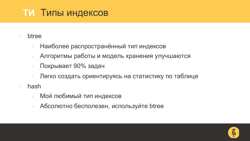# **ТИ** Типы индексов

- **btree** 
	- Наиболее распространённый тип индексов
	- Алгоритмы работы и модель хранения улучшаются
	- Покрывает 90% задач
	- Легко создать ориентируясь на статистику по таблице
- hash
	- Мой любимый тип индексов
	- Абсолютно бесполезен, используйте btree

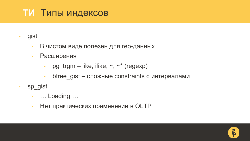# **ТИ** Типы индексов

- gist
	- В чистом виде полезен для гео-данных
	- Расширения
		- pg trgm like, ilike,  $\sim$ ,  $\sim$ \* (regexp)
		- $\cdot$  btree gist сложные constraints с интервалами
- sp\_gist
	- … Loading …
	- Нет практических применений в OLTP

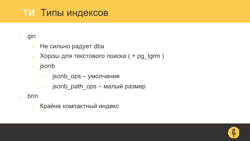# **ТИ** Типы индексов

- gin
	- Не сильно радует dba
	- Хорош для текстового поиска ( + pg\_tgrm )
	- jsonb
		- jsonb\_ops умолчание
		- jsonb\_path\_ops малый размер
- brin
	- Крайне компактный индекс

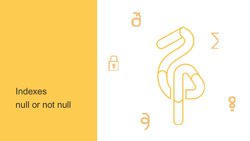# Indexes null or not null

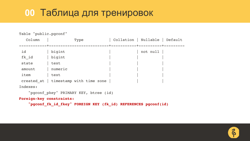#### **00** Таблица для тренировок

```
Table "public.pgconf"
  Column | Type | Collation | Nullable | Default
------------+--------------------------+-----------+----------+---------
id | bigint | | | not null
fk id | bigint
state | text
amount | numeric
item | text
created at | timestamp with time zone
Indexes:
   "pgconf pkey" PRIMARY KEY, btree (id)
Foreign-key constraints:
   "pgconf_fk_id_fkey" FOREIGN KEY (fk_id) REFERENCES pgconf(id)
```
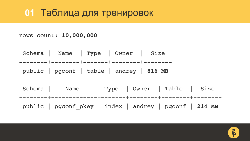#### **01** Таблица для тренировок

rows count: **10,000,000**

Schema | Name | Type | Owner | Size --------+--------+-------+--------+------- public | pgconf | table | andrey | **816 MB**

Schema | Name | Type | Owner | Table | Size --------+-------------+-------+--------+--------+------- public | pgconf\_pkey | index | andrey | pgconf | **214 MB**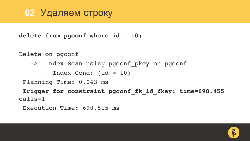#### **02** Удаляем строку

**delete from pgconf where id = 10;** 

Delete on pgconf

-> Index Scan using pgconf\_pkey on pgconf Index Cond: (id = 10)

Planning Time: 0.043 ms

**Trigger for constraint pgconf\_fk\_id\_fkey: time=690.455 calls=1**

```
Execution Time: 690.515 ms
```
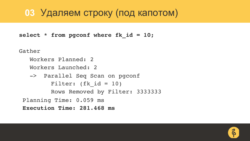# **03** Удаляем строку (под капотом)

**select \* from pgconf where fk\_id = 10;**

Gather

```
Workers Planned: 2
  Workers Launched: 2
  -> Parallel Seq Scan on pgconf
        Filter: (fk id = 10)
        Rows Removed by Filter: 3333333
Planning Time: 0.059 ms
Execution Time: 281.468 ms
```
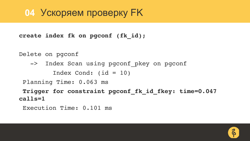#### **04** Ускоряем проверку FK

**create index fk on pgconf (fk\_id);** 

Delete on pgconf

-> Index Scan using pgconf\_pkey on pgconf Index Cond:  $(id = 10)$ 

Planning Time: 0.063 ms

**Trigger for constraint pgconf\_fk\_id\_fkey: time=0.047 calls=1**

```
Execution Time: 0.101 ms
```
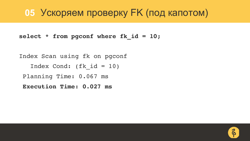#### **05** Ускоряем проверку FK (под капотом)

**select \* from pgconf where fk\_id = 10;**

Index Scan using fk on pgconf Index Cond: (fk  $id = 10$ ) Planning Time: 0.067 ms **Execution Time: 0.027 ms**

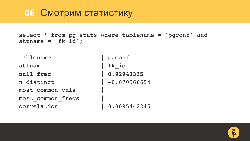#### **06** Смотрим статистику

select \* from pg\_stats where tablename = 'pgconf' and attname =  $'fk id'$ ;

tablename | pgconf attname | fk id **null\_frac | 0.92943335** n distinct | -0.070566654 most\_common\_vals | most\_common\_freqs | correlation | 0.0095442245

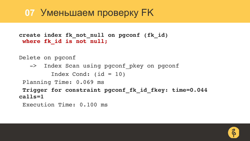#### **07** Уменьшаем проверку FK

```
create index fk_not_null on pgconf (fk_id)
where fk_id is not null;
```
Delete on pgconf

-> Index Scan using pgconf\_pkey on pgconf

```
Index Cond: (id = 10)
```
Planning Time: 0.069 ms

**Trigger for constraint pgconf\_fk\_id\_fkey: time=0.044 calls=1**

```
Execution Time: 0.100 ms
```
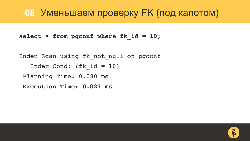#### **08** Уменьшаем проверку FK (под капотом)

**select \* from pgconf where fk\_id = 10;**

Index Scan using fk not null on pgconf Index Cond: (fk  $id = 10$ ) Planning Time: 0.080 ms **Execution Time: 0.027 ms**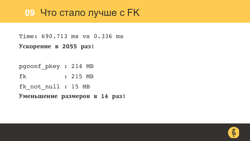#### **09** Что стало лучше с FK

Time: 690.713 ms vs 0.336 ms **Ускорение в 2055 раз!**

pgconf\_pkey : 214 MB fk : 215 MB fk not null : 15 MB **Уменьшение размеров в 14 раз!**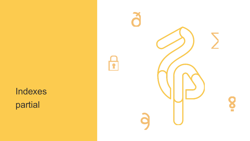Indexes partial

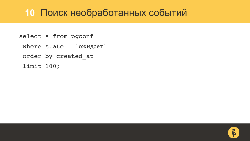#### **10** Поиск необработанных событий

- select \* from pgconf
	- where state = 'ожидает'
	- order by created\_at
	- limit 100;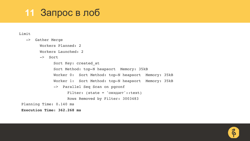#### **11** Запрос в лоб

#### Limit

-> Gather Merge Workers Planned: 2 Workers Launched: 2 -> Sort Sort Key: created\_at Sort Method: top-N heapsort Memory: 35kB Worker 0: Sort Method: top-N heapsort Memory: 35kB Worker 1: Sort Method: top-N heapsort Memory: 35kB -> Parallel Seq Scan on pgconf Filter: (state = 'ожидает'::text) Rows Removed by Filter: 3003483 Planning Time: 0.140 ms

**Execution Time: 362.268 ms**

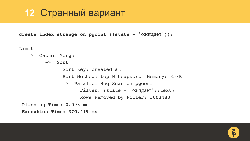#### **12** Странный вариант

**create index strange on pgconf ((state = 'ожидает'));**

Limit

- -> Gather Merge
- -> Sort Sort Key: created\_at Sort Method: top-N heapsort Memory: 35kB -> Parallel Seq Scan on pgconf Filter: (state = 'ожидает'::text) Rows Removed by Filter: 3003483 Planning Time: 0.093 ms

**Execution Time: 370.419 ms**

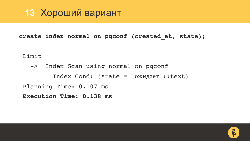#### **13** Хороший вариант

**create index normal on pgconf (created\_at, state);**

Limit

-> Index Scan using normal on pgconf Index Cond: (state = 'ожидает'::text) Planning Time: 0.107 ms **Execution Time: 0.138 ms**

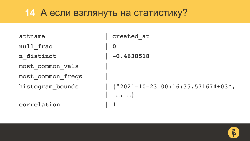#### **14** А если взглянуть на статистику?

| attname           | created at                                             |
|-------------------|--------------------------------------------------------|
| null_frac         | $\bf{0}$                                               |
| n distinct        | $-0.4638518$                                           |
| most common vals  |                                                        |
| most common freqs |                                                        |
| histogram bounds  | $\vert$ {"2021-10-23 00:16:35.571674+03",<br>$, \dots$ |
| correlation       |                                                        |

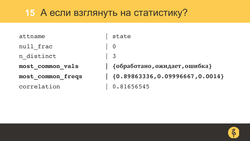#### **15** А если взглянуть на статистику?

| attname           | S                        |
|-------------------|--------------------------|
| null frac         | $\overline{0}$           |
| n distinct        | $\vert$ 3                |
| most common vals  | $\vert \ \ \}$           |
| most common freqs | $\vert \hspace{.1cm} \}$ |
| correlation       |                          |

state **most\_common\_vals | {обработано,ожидает,ошибка} most\_common\_freqs | {0.89863336,0.09996667,0.0014}** 0.81656545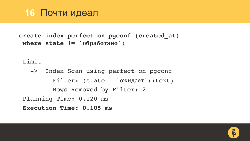#### **16** Почти идеал

```
create index perfect on pgconf (created_at)
where state != 'обработано';
```
Limit

-> Index Scan using perfect on pgconf  $Filter:$  (state = ' $OX$ <sub>H $A$  $B$ </sub> $S$ ':text) Rows Removed by Filter: 2 Planning Time: 0.120 ms **Execution Time: 0.105 ms**

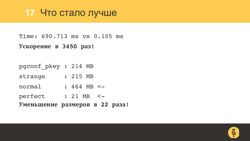#### **17** Что стало лучше

Time: 690.713 ms vs 0.105 ms **Ускорение в 3450 раз!**

pgconf\_pkey : 214 MB strange : 215 MB normal : 464 MB <perfect : 21 MB <-**Уменьшение размеров в 22 раза!**

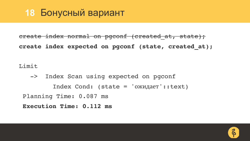#### **18** Бонусный вариант

create index normal on pgconf (created\_at, state); **create index expected on pgconf (state, created\_at);**

Limit

-> Index Scan using expected on pgconf Index Cond: (state = 'ожидает'::text) Planning Time: 0.087 ms **Execution Time: 0.112 ms**

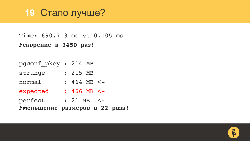#### **19** Cтало лучше?

Time: 690.713 ms vs 0.105 ms **Ускорение в 3450 раз!**

|                     | Уменьшение размеров в 22 раза!   |
|---------------------|----------------------------------|
| perfect             | $: 21 MB < -$                    |
| expected            | $: 466$ MB $\lt -$               |
| normal              | $: 464 \, \text{MB} \, \text{-}$ |
| strange             | : 215 MB                         |
| pgconf pkey: 214 MB |                                  |

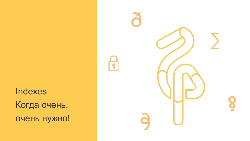**Indexes** Когда очень, очень нужно!

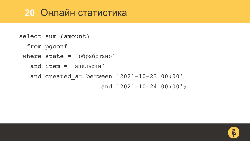#### **20** Онлайн статистика

```
select sum (amount)
  from pgconf
where state = 'обработано'
   and item = 'ameJbCHH'and created_at between '2021-10-23 00:00'
                      and '2021-10-24 00:00';
```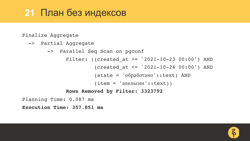# **21** План без индексов

Finalize Aggregate

- -> Partial Aggregate
	- -> Parallel Seq Scan on pgconf
		- Filter: ((created at  $>=$  '2021-10-23 00:00') AND
			- (created at  $\leq$  '2021-10-24 00:00') AND
			- $(\text{state} = 'o6p46074H0': \text{text}) AND$
			- $(item = 'ameJbCHH':texttext{text})$

#### **Rows Removed by Filter: 3323792**

Planning Time: 0.087 ms

**Execution Time: 357.851 ms**

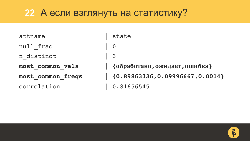#### **22** А если взглянуть на статистику?

| attname           | state                    |
|-------------------|--------------------------|
| null frac         | $\overline{\phantom{0}}$ |
| n distinct        | $\vert$ 3                |
| most common vals  | $\vert$ {06pat           |
| most common freqs | $  { 0.89}$              |
| correlation       | 0.816                    |

```
most_common_vals | {обработано,ожидает,ошибка}
most_common_freqs | {0.89863336,0.09996667,0.0014}
  0.81656545
```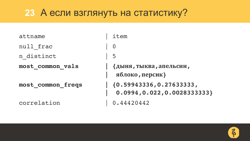#### **23** А если взглянуть на статистику?

| attname           | item                                                      |
|-------------------|-----------------------------------------------------------|
| null frac         | $\overline{0}$                                            |
| n distinct        | -5                                                        |
| most_common_vals  | {дыня, тыква, апельсин,<br>яблоко, персик}                |
| most common freqs | ${0.59943336, 0.27633333}$<br>0.0994, 0.022, 0.0028333333 |
| correlation       | 0.44420442                                                |

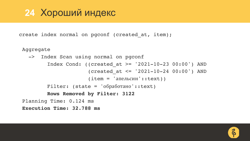#### **24** Хороший индекс

create index normal on pgconf (created\_at, item);

Aggregate

```
-> Index Scan using normal on pgconf
        Index Cond: ((created at >= '2021-10-23 00:00') AND
                      (created at \leq '2021-10-24 00:00') AND
                      (item = 'ameJbCH'::text{text})Filter: (state = 'обработано'::text)
        Rows Removed by Filter: 3122
Planning Time: 0.124 ms
Execution Time: 32.788 ms
```
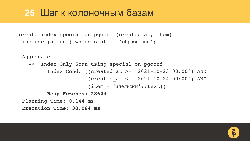#### **25** Шаг к колоночным базам

```
create index special on pgconf (created_at, item)
 include (amount) where state = 'обработано';
```
Aggregate

```
-> Index Only Scan using special on pgconf
        Index Cond: ((created_at >= '2021-10-23 00:00') AND 
                      (created at \leq '2021-10-24 00:00') AND
                      (item = 'ameJbCHH':texttext{text})Heap Fetches: 28624
Planning Time: 0.144 ms
Execution Time: 30.084 ms
```
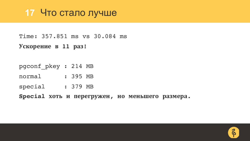#### **17** Что стало лучше

Time: 357.851 ms vs 30.084 ms

**Ускорение в 11 раз!**

pgconf\_pkey : 214 MB

normal : 395 MB

special : 379 MB

**Special хоть и перегружен, но меньшего размера.**